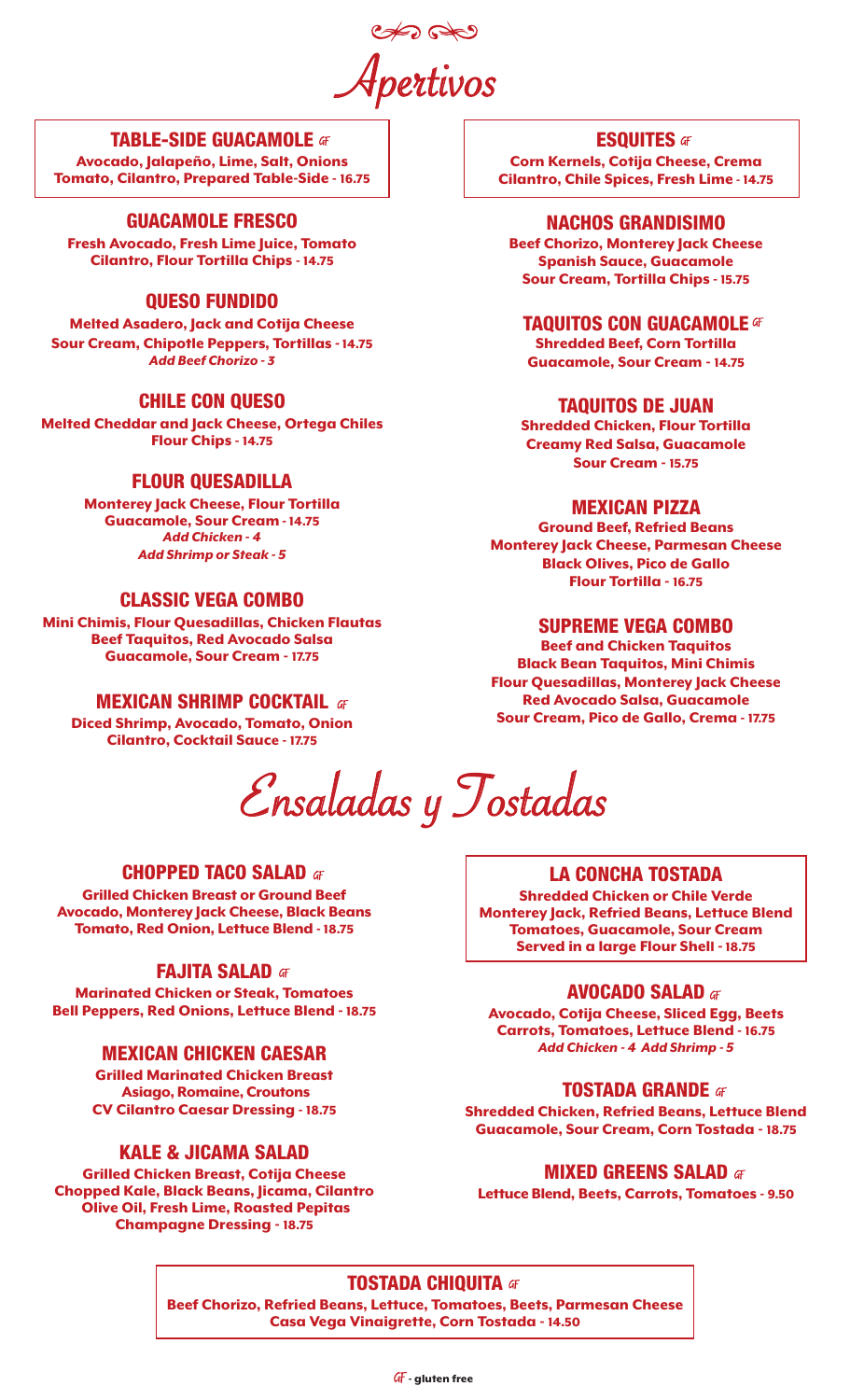Apertivos

## TABLE-SIDE GUACAMOLE

Avocado, Jalapeño, Lime, Salt, Onions Tomato, Cilantro, Prepared Table-Side - 16.75

# GUACAMOLE FRESCO

Fresh Avocado, Fresh Lime Juice, Tomato Cilantro, Flour Tortilla Chips - 14.75

# QUESO FUNDIDO

Melted Asadero, Jack and Cotija Cheese Sour Cream, Chipotle Peppers, Tortillas *-*14.75 *Add Beef Chorizo - 3*

# CHILE CON QUESO

Melted Cheddar and Jack Cheese, Ortega Chiles Flour Chips - 14.75

# FLOUR QUESADILLA

Monterey Jack Cheese, Flour Tortilla Guacamole, Sour Cream *-* 14.75 *Add Chicken - 4 Add Shrimp or Steak - 5*

# CLASSIC VEGA COMBO

Mini Chimis, Flour Quesadillas, Chicken Flautas Beef Taquitos, Red Avocado Salsa Guacamole, Sour Cream - 17.75

# **MEXICAN SHRIMP COCKTAIL af**

Diced Shrimp, Avocado, Tomato, Onion Cilantro, Cocktail Sauce - 17.75

Ensaladas y Tostadas

# **CHOPPED TACO SALAD**  at

Grilled Chicken Breast or Ground Beef Avocado, Monterey Jack Cheese, Black Beans Tomato, Red Onion, Lettuce Blend - 18.75

## FAJITA SALAD **GF**

Marinated Chicken or Steak, Tomatoes Bell Peppers, Red Onions, Lettuce Blend - 18.75

# MEXICAN CHICKEN CAESAR

Grilled Marinated Chicken Breast Asiago, Romaine, Croutons CV Cilantro Caesar Dressing - 18.75

# KALE & JICAMA SALAD

Grilled Chicken Breast, Cotija Cheese Chopped Kale, Black Beans, Jicama, Cilantro Olive Oil, Fresh Lime, Roasted Pepitas Champagne Dressing - 18.75

**ESQUITES af** 

Corn Kernels, Cotija Cheese, Crema Cilantro, Chile Spices, Fresh Lime - 14.75

### NACHOS GRANDISIMO

Beef Chorizo, Monterey Jack Cheese Spanish Sauce, Guacamole Sour Cream, Tortilla Chips - 15.75

# TAQUITOS CON GUACAMOLE  $47$

Shredded Beef, Corn Tortilla Guacamole, Sour Cream - 14.75

## TAQUITOS DE JUAN

Shredded Chicken, Flour Tortilla Creamy Red Salsa, Guacamole Sour Cream - 15.75

## MEXICAN PIZZA

Ground Beef, Refried Beans Monterey Jack Cheese, Parmesan Cheese Black Olives, Pico de Gallo Flour Tortilla - 16.75

# SUPREME VEGA COMBO

Beef and Chicken Taquitos Black Bean Taquitos, Mini Chimis Flour Quesadillas, Monterey Jack Cheese Red Avocado Salsa, Guacamole Sour Cream, Pico de Gallo, Crema - 17.75

# LA CONCHA TOSTADA

Shredded Chicken or Chile Verde Monterey Jack, Refried Beans, Lettuce Blend Tomatoes, Guacamole, Sour Cream Served in a large Flour Shell *-* 18.75

## AVOCADO SALAD

Avocado, Cotija Cheese, Sliced Egg, Beets Carrots, Tomatoes, Lettuce Blend - 16.75 *Add Chicken - 4 Add Shrimp - 5*

## **TOSTADA GRANDE** at

Shredded Chicken, Refried Beans, Lettuce Blend Guacamole, Sour Cream, Corn Tostada - 18.75

## **MIXED GREENS SALAD**  af

Lettuce Blend, Beets, Carrots, Tomatoes - 9.50

# **TOSTADA CHIQUITA 4F**

Beef Chorizo, Refried Beans, Lettuce, Tomatoes, Beets, Parmesan Cheese Casa Vega Vinaigrette, Corn Tostada - 14.50

 $GF$  aluten free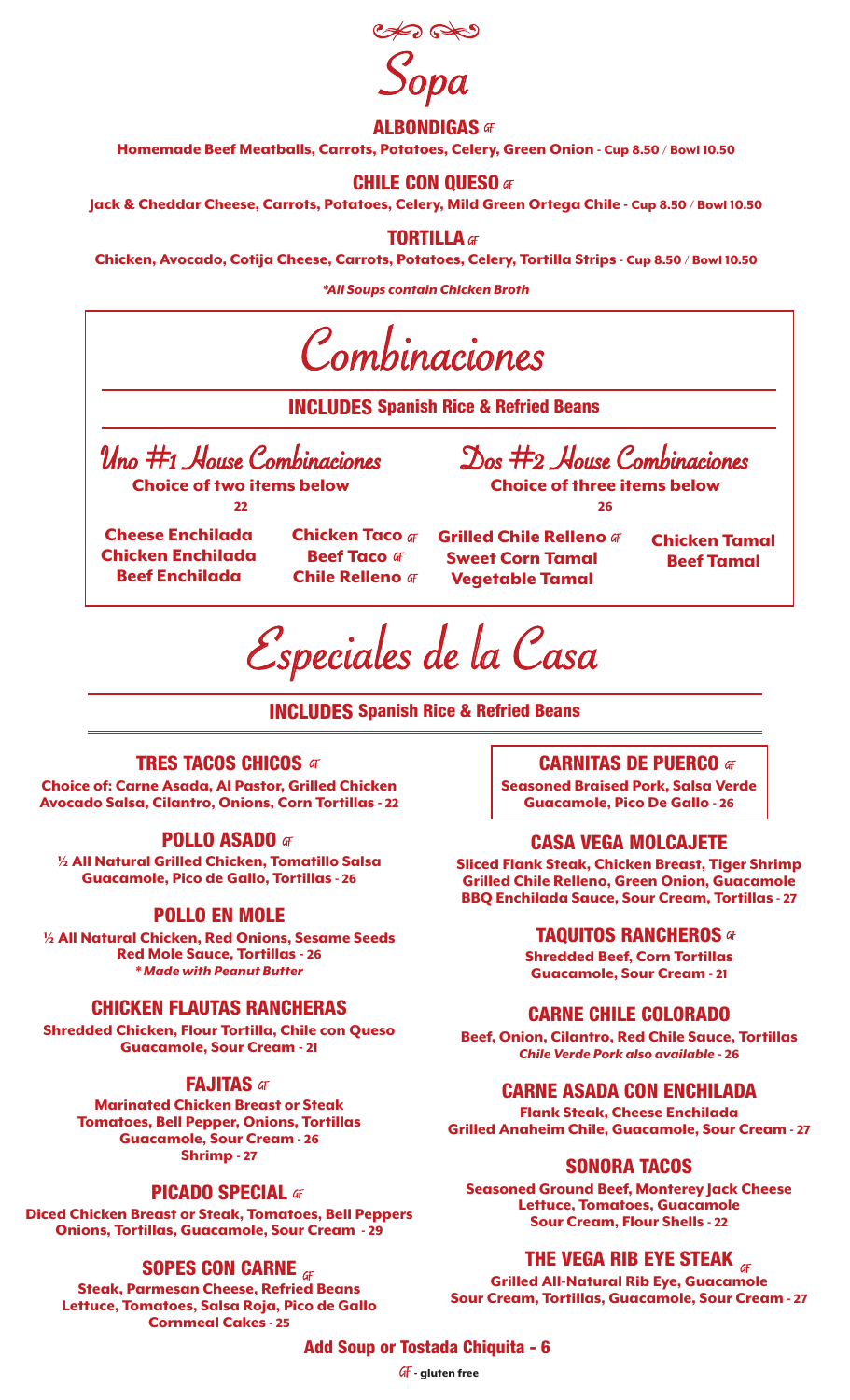

## **ALBONDIGAS GF**

Homemade Beef Meatballs, Carrots, Potatoes, Celery, Green Onion - Cup 8.50 / Bowl 10.50

## **CHILE CON QUESO** at

Jack & Cheddar Cheese, Carrots, Potatoes, Celery, Mild Green Ortega Chile - Cup 8.50 / Bowl 10.50

**TORTILLA af** 

Chicken, Avocado, Cotija Cheese, Carrots, Potatoes, Celery, Tortilla Strips - Cup 8.50 / Bowl 10.50

*\*All Soups contain Chicken Broth*



INCLUDES Spanish Rice & Refried Beans

## **TRES TACOS CHICOS 47**

Choice of: Carne Asada, Al Pastor, Grilled Chicken Avocado Salsa, Cilantro, Onions, Corn Tortillas - 22

### POLLO ASADO GF

½ All Natural Grilled Chicken, Tomatillo Salsa Guacamole, Pico de Gallo, Tortillas - 26

### POLLO EN MOLE

½ All Natural Chicken, Red Onions, Sesame Seeds Red Mole Sauce, Tortillas - 26 *\* Made with Peanut Butter*

## CHICKEN FLAUTAS RANCHERAS

Shredded Chicken, Flour Tortilla, Chile con Queso Guacamole, Sour Cream - 21

### FAJITAS **GF**

Marinated Chicken Breast or Steak Tomatoes, Bell Pepper, Onions, Tortillas Guacamole, Sour Cream - 26 Shrimp - 27

### PICADO SPECIAL GF

Diced Chicken Breast or Steak, Tomatoes, Bell Peppers Onions, Tortillas, Guacamole, Sour Cream - 29

## SOPES CON CARNE  $_{\text{GF}}$

Steak, Parmesan Cheese, Refried Beans Lettuce, Tomatoes, Salsa Roja, Pico de Gallo Cornmeal Cakes - 25

# **CARNITAS DE PUERCO 47**

Seasoned Braised Pork, Salsa Verde Guacamole, Pico De Gallo - 26

### CASA VEGA MOLCAJETE

Sliced Flank Steak, Chicken Breast, Tiger Shrimp Grilled Chile Relleno, Green Onion, Guacamole BBQ Enchilada Sauce, Sour Cream, Tortillas - 27

### **TAQUITOS RANCHEROS at**

Shredded Beef, Corn Tortillas Guacamole, Sour Cream - 21

## CARNE CHILE COLORADO

Beef, Onion, Cilantro, Red Chile Sauce, Tortillas *Chile Verde Pork also available* - 26

## CARNE ASADA CON ENCHILADA

Flank Steak, Cheese Enchilada Grilled Anaheim Chile, Guacamole, Sour Cream - 27

#### SONORA TACOS

Seasoned Ground Beef, Monterey Jack Cheese Lettuce, Tomatoes, Guacamole Sour Cream, Flour Shells - 22

## THE VEGA RIB EYE STEAK  $\pi$

Grilled All-Natural Rib Eye, Guacamole Sour Cream, Tortillas, Guacamole, Sour Cream - 27

### Add Soup or Tostada Chiquita - 6

GF - gluten free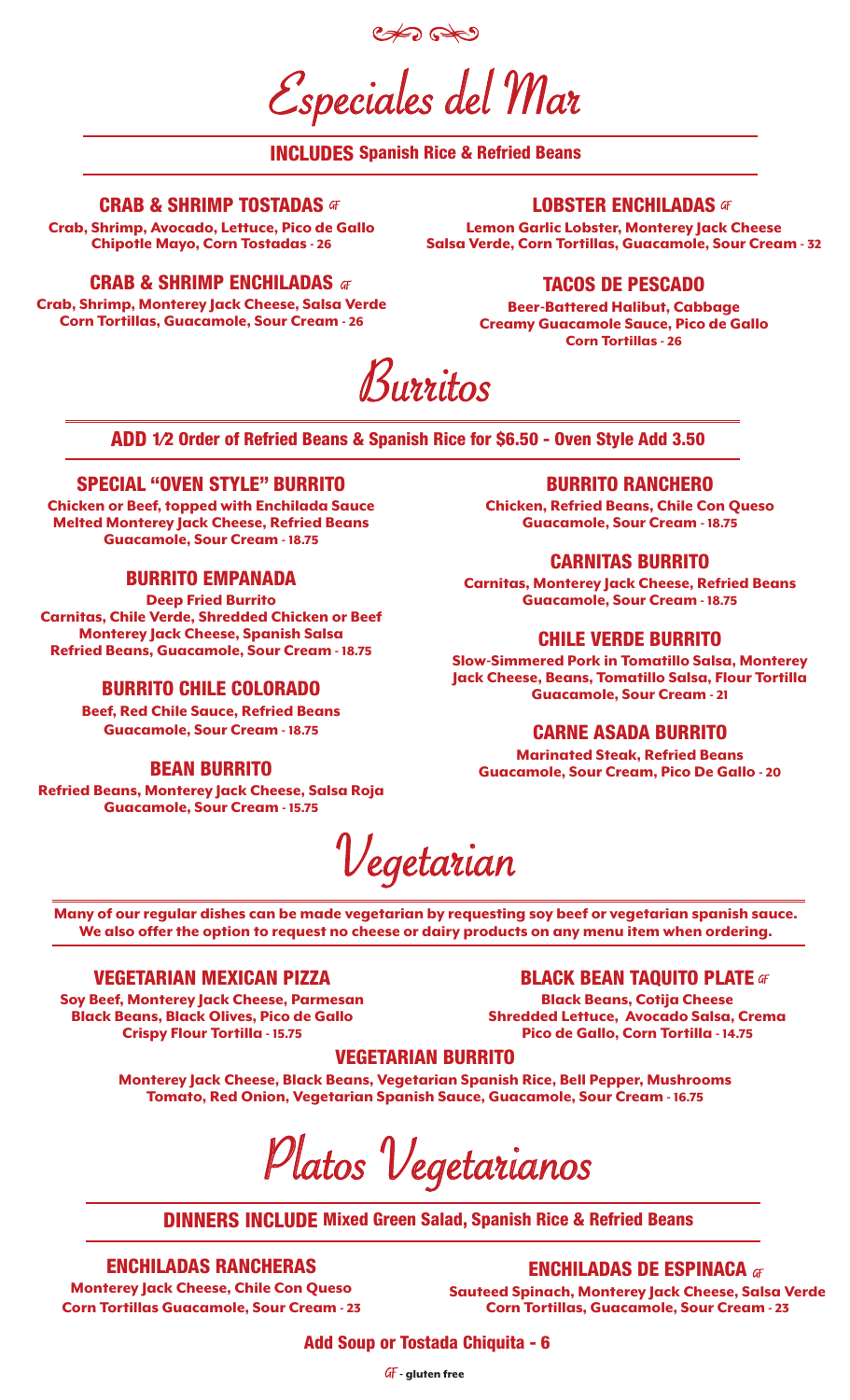Especiales del Mar

# INCLUDES Spanish Rice & Refried Beans

### **CRAB & SHRIMP TOSTADAS**  F

Crab, Shrimp, Avocado, Lettuce, Pico de Gallo Chipotle Mayo, Corn Tostadas - 26

### **LOBSTER ENCHILADAS GF**

Lemon Garlic Lobster, Monterey Jack Cheese Salsa Verde, Corn Tortillas, Guacamole, Sour Cream - 32

### CRAB & SHRIMP ENCHILADAS  $\sigma$

Crab, Shrimp, Monterey Jack Cheese, Salsa Verde Corn Tortillas, Guacamole, Sour Cream - 26

### TACOS DE PESCADO

Beer-Battered Halibut, Cabbage Creamy Guacamole Sauce, Pico de Gallo Corn Tortillas - 26

Burritos

ADD 1⁄2 Order of Refried Beans & Spanish Rice for \$6.50 - Oven Style Add 3.50

### SPECIAL "OVEN STYLE" BURRITO

Chicken or Beef, topped with Enchilada Sauce Melted Monterey Jack Cheese, Refried Beans Guacamole, Sour Cream - 18.75

## BURRITO EMPANADA

Deep Fried Burrito Carnitas, Chile Verde, Shredded Chicken or Beef Monterey Jack Cheese, Spanish Salsa Refried Beans, Guacamole, Sour Cream - 18.75

## BURRITO CHILE COLORADO

Beef, Red Chile Sauce, Refried Beans Guacamole, Sour Cream - 18.75

#### BEAN BURRITO

Refried Beans, Monterey Jack Cheese, Salsa Roja Guacamole, Sour Cream - 15.75

#### BURRITO RANCHERO

Chicken, Refried Beans, Chile Con Queso Guacamole, Sour Cream - 18.75

#### CARNITAS BURRITO

Carnitas, Monterey Jack Cheese, Refried Beans Guacamole, Sour Cream - 18.75

#### CHILE VERDE BURRITO

Slow-Simmered Pork in Tomatillo Salsa, Monterey Jack Cheese, Beans, Tomatillo Salsa, Flour Tortilla Guacamole, Sour Cream - 21

### CARNE ASADA BURRITO

Marinated Steak, Refried Beans Guacamole, Sour Cream, Pico De Gallo - 20



Many of our regular dishes can be made vegetarian by requesting soy beef or vegetarian spanish sauce. We also offer the option to request no cheese or dairy products on any menu item when ordering.

#### VEGETARIAN MEXICAN PIZZA

Soy Beef, Monterey Jack Cheese, Parmesan Black Beans, Black Olives, Pico de Gallo Crispy Flour Tortilla - 15.75

**BLACK BEAN TAQUITO PLATE GF** 

Black Beans, Cotija Cheese Shredded Lettuce, Avocado Salsa, Crema Pico de Gallo, Corn Tortilla - 14.75

### VEGETARIAN BURRITO

Monterey Jack Cheese, Black Beans, Vegetarian Spanish Rice, Bell Pepper, Mushrooms Tomato, Red Onion, Vegetarian Spanish Sauce, Guacamole, Sour Cream - 16.75

Platos Vegetarianos

DINNERS INCLUDE Mixed Green Salad, Spanish Rice & Refried Beans

## ENCHILADAS RANCHERAS

Monterey Jack Cheese, Chile Con Queso Corn Tortillas Guacamole, Sour Cream - 23

**ENCHILADAS DE ESPINACA GF** Sauteed Spinach, Monterey Jack Cheese, Salsa Verde Corn Tortillas, Guacamole, Sour Cream - 23

Add Soup or Tostada Chiquita - 6